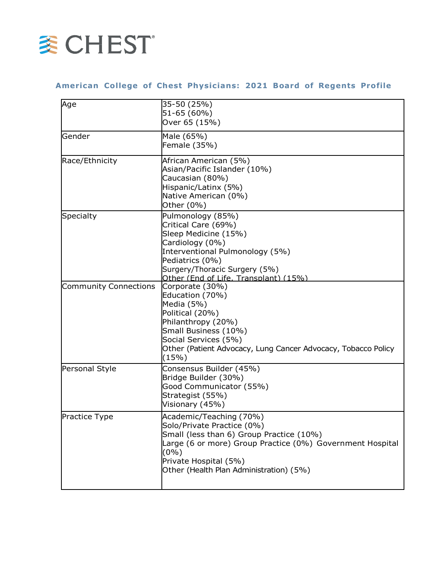

## **American Co llege of Chest Physic ians: 2021 Board of Regents Profile**

| Age                          | 35-50 (25%)                                                   |
|------------------------------|---------------------------------------------------------------|
|                              | 51-65 (60%)                                                   |
|                              | Over 65 (15%)                                                 |
| Gender                       | Male (65%)                                                    |
|                              | Female (35%)                                                  |
| Race/Ethnicity               | African American (5%)                                         |
|                              | Asian/Pacific Islander (10%)                                  |
|                              | Caucasian (80%)                                               |
|                              | Hispanic/Latinx (5%)                                          |
|                              | Native American (0%)                                          |
|                              | Other (0%)                                                    |
| Specialty                    | Pulmonology (85%)                                             |
|                              | Critical Care (69%)                                           |
|                              | Sleep Medicine (15%)                                          |
|                              | Cardiology (0%)                                               |
|                              | Interventional Pulmonology (5%)                               |
|                              | Pediatrics (0%)                                               |
|                              | Surgery/Thoracic Surgery (5%)                                 |
|                              | Other (End of Life, Transplant) (15%)                         |
| <b>Community Connections</b> | Corporate (30%)                                               |
|                              | Education (70%)                                               |
|                              | Media (5%)                                                    |
|                              | Political (20%)                                               |
|                              | Philanthropy (20%)                                            |
|                              | Small Business (10%)                                          |
|                              | Social Services (5%)                                          |
|                              | Other (Patient Advocacy, Lung Cancer Advocacy, Tobacco Policy |
|                              | (15%)                                                         |
| Personal Style               | Consensus Builder (45%)                                       |
|                              | Bridge Builder (30%)                                          |
|                              | Good Communicator (55%)                                       |
|                              | Strategist (55%)                                              |
|                              | Visionary (45%)                                               |
| Practice Type                | Academic/Teaching (70%)                                       |
|                              | Solo/Private Practice (0%)                                    |
|                              | Small (less than 6) Group Practice (10%)                      |
|                              | Large (6 or more) Group Practice (0%) Government Hospital     |
|                              | $(0\%)$                                                       |
|                              | Private Hospital (5%)                                         |
|                              | Other (Health Plan Administration) (5%)                       |
|                              |                                                               |
|                              |                                                               |